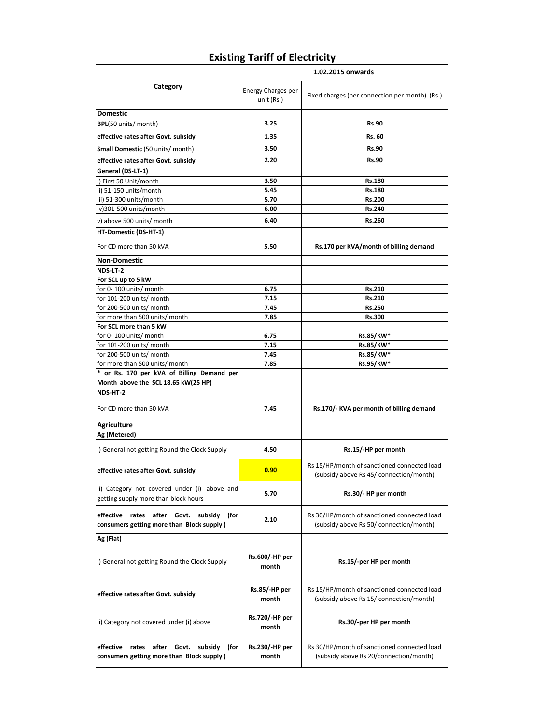| <b>Existing Tariff of Electricity</b>                                                          |                                  |                                                                                        |  |
|------------------------------------------------------------------------------------------------|----------------------------------|----------------------------------------------------------------------------------------|--|
|                                                                                                | 1.02.2015 onwards                |                                                                                        |  |
| Category                                                                                       | Energy Charges per<br>unit (Rs.) | Fixed charges (per connection per month) (Rs.)                                         |  |
| <b>Domestic</b>                                                                                |                                  |                                                                                        |  |
| BPL(50 units/ month)                                                                           | 3.25                             | <b>Rs.90</b>                                                                           |  |
| effective rates after Govt. subsidy                                                            | 1.35                             | Rs. 60                                                                                 |  |
| <b>Small Domestic (50 units/ month)</b>                                                        | 3.50                             | <b>Rs.90</b>                                                                           |  |
| effective rates after Govt. subsidy                                                            | 2.20                             | <b>Rs.90</b>                                                                           |  |
| General (DS-LT-1)                                                                              |                                  |                                                                                        |  |
| i) First 50 Unit/month                                                                         | 3.50                             | <b>Rs.180</b>                                                                          |  |
| ii) 51-150 units/month                                                                         | 5.45                             | <b>Rs.180</b>                                                                          |  |
| iii) 51-300 units/month                                                                        | 5.70                             | <b>Rs.200</b>                                                                          |  |
| iv)301-500 units/month                                                                         | 6.00                             | Rs.240                                                                                 |  |
| v) above 500 units/ month                                                                      | 6.40                             | <b>Rs.260</b>                                                                          |  |
| HT-Domestic (DS-HT-1)                                                                          |                                  |                                                                                        |  |
| For CD more than 50 kVA                                                                        | 5.50                             | Rs.170 per KVA/month of billing demand                                                 |  |
| <b>Non-Domestic</b>                                                                            |                                  |                                                                                        |  |
| NDS-LT-2                                                                                       |                                  |                                                                                        |  |
| For SCL up to 5 kW                                                                             |                                  |                                                                                        |  |
| for 0-100 units/ month                                                                         | 6.75                             | <b>Rs.210</b>                                                                          |  |
| for 101-200 units/ month                                                                       | 7.15                             | Rs.210                                                                                 |  |
| for 200-500 units/ month                                                                       | 7.45                             | <b>Rs.250</b>                                                                          |  |
| for more than 500 units/ month                                                                 | 7.85                             | Rs.300                                                                                 |  |
| For SCL more than 5 kW                                                                         |                                  |                                                                                        |  |
| for 0-100 units/ month                                                                         | 6.75                             | Rs.85/KW*                                                                              |  |
| for 101-200 units/ month                                                                       | 7.15                             | Rs.85/KW*                                                                              |  |
| for 200-500 units/ month                                                                       | 7.45                             | Rs.85/KW*                                                                              |  |
| for more than 500 units/ month                                                                 | 7.85                             | Rs.95/KW*                                                                              |  |
| * or Rs. 170 per kVA of Billing Demand per                                                     |                                  |                                                                                        |  |
| Month above the SCL 18.65 kW(25 HP)                                                            |                                  |                                                                                        |  |
| NDS-HT-2                                                                                       |                                  |                                                                                        |  |
| For CD more than 50 kVA                                                                        | 7.45                             | Rs.170/- KVA per month of billing demand                                               |  |
| <b>Agriculture</b>                                                                             |                                  |                                                                                        |  |
| Ag (Metered)                                                                                   |                                  |                                                                                        |  |
| i) General not getting Round the Clock Supply                                                  | 4.50                             | Rs.15/-HP per month                                                                    |  |
| effective rates after Govt. subsidy                                                            | 0.90                             | Rs 15/HP/month of sanctioned connected load<br>(subsidy above Rs 45/ connection/month) |  |
| ii) Category not covered under (i) above and<br>getting supply more than block hours           | 5.70                             | Rs.30/- HP per month                                                                   |  |
| effective rates after Govt. subsidy<br>(for<br>consumers getting more than Block supply)       | 2.10                             | Rs 30/HP/month of sanctioned connected load<br>(subsidy above Rs 50/ connection/month) |  |
| Ag (Flat)                                                                                      |                                  |                                                                                        |  |
| i) General not getting Round the Clock Supply                                                  | Rs.600/-HP per<br>month          | Rs.15/-per HP per month                                                                |  |
| effective rates after Govt. subsidy                                                            | Rs.85/-HP per<br>month           | Rs 15/HP/month of sanctioned connected load<br>(subsidy above Rs 15/ connection/month) |  |
| ii) Category not covered under (i) above                                                       | Rs.720/-HP per<br>month          | Rs.30/-per HP per month                                                                |  |
| after Govt.<br>effective<br>rates<br>subsidy (for<br>consumers getting more than Block supply) | Rs.230/-HP per<br>month          | Rs 30/HP/month of sanctioned connected load<br>(subsidy above Rs 20/connection/month)  |  |